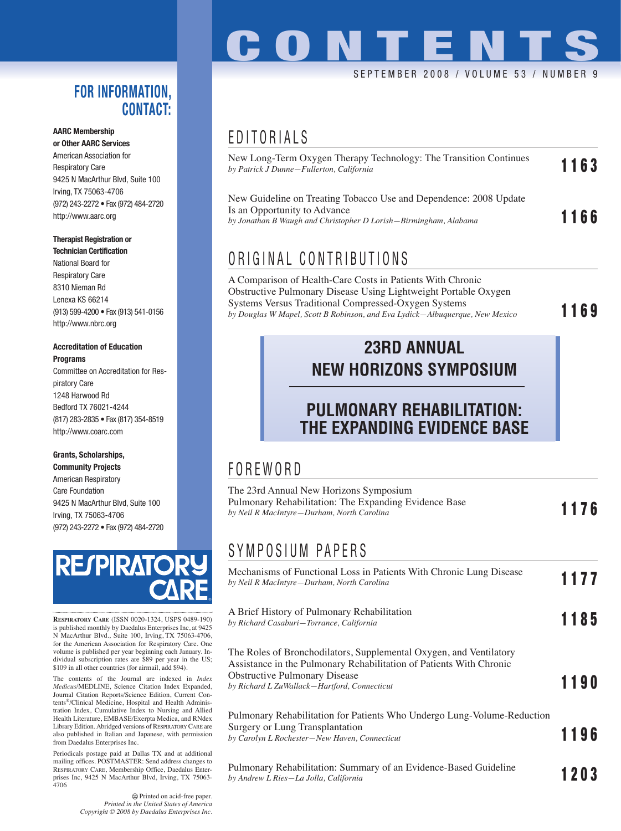#### **FOR INFORMATION, CONTACT:**

#### **AARC Membership**

**or Other AARC Services** American Association for Respiratory Care 9425 N MacArthur Blvd, Suite 100 Irving, TX 75063-4706 (972) 243-2272 • Fax (972) 484-2720 http://www.aarc.org

#### **Therapist Registration or Technician Certification**

National Board for Respiratory Care 8310 Nieman Rd Lenexa KS 66214 (913) 599-4200 • Fax (913) 541-0156 http://www.nbrc.org

#### **Accreditation of Education Programs**

Committee on Accreditation for Respiratory Care 1248 Harwood Rd Bedford TX 76021-4244 (817) 283-2835 • Fax (817) 354-8519 http://www.coarc.com

#### **Grants, Scholarships, Community Projects**

American Respiratory Care Foundation 9425 N MacArthur Blvd, Suite 100 Irving, TX 75063-4706 (972) 243-2272 • Fax (972) 484-2720



**RESPIRATORY CARE** (ISSN 0020-1324, USPS 0489-190) is published monthly by Daedalus Enterprises Inc, at 9425 N MacArthur Blvd., Suite 100, Irving, TX 75063-4706, for the American Association for Respiratory Care. One volume is published per year beginning each January. Individual subscription rates are \$89 per year in the US; \$109 in all other countries (for airmail, add \$94).

The contents of the Journal are indexed in *Index Medicus*/MEDLINE, Science Citation Index Expanded, Journal Citation Reports/Science Edition, Current Contents®/Clinical Medicine, Hospital and Health Administration Index, Cumulative Index to Nursing and Allied Health Literature, EMBASE/Exerpta Medica, and RNdex Library Edition. Abridged versions of RESPIRATORY CARE are also published in Italian and Japanese, with permission from Daedalus Enterprises Inc.

Periodicals postage paid at Dallas TX and at additional mailing offices. POSTMASTER: Send address changes to RESPIRATORY CARE, Membership Office, Daedalus Enterprises Inc, 9425 N MacArthur Blvd, Irving, TX 75063- 4706

> Printed on acid-free paper. *Printed in the United States of America Copyright © 2008 by Daedalus Enterprises Inc.*

## SEPTEMBER 2008 / VOLUME 53 / NUMBER 9 **CONTENTS**

## EDITORIALS

| New Long-Term Oxygen Therapy Technology: The Transition Continues<br>by Patrick J Dunne—Fullerton, California                                                         | 1163 |
|-----------------------------------------------------------------------------------------------------------------------------------------------------------------------|------|
| New Guideline on Treating Tobacco Use and Dependence: 2008 Update<br>Is an Opportunity to Advance<br>by Jonathan B Waugh and Christopher D Lorish—Birmingham, Alabama | 1166 |

## ORIGINAL CONTRIBUTIONS

A Comparison of Health-Care Costs in Patients With Chronic Obstructive Pulmonary Disease Using Lightweight Portable Oxygen Systems Versus Traditional Compressed-Oxygen Systems *by Douglas W Mapel, Scott B Robinson, and Eva Lydick—Albuquerque, New Mexico* **1169**

### **23RD ANNUAL NEW HORIZONS SYMPOSIUM**

#### **PULMONARY REHABILITATION: THE EXPANDING EVIDENCE BASE**

## FOREWORD

| The 23rd Annual New Horizons Symposium                                                              |      |
|-----------------------------------------------------------------------------------------------------|------|
| Pulmonary Rehabilitation: The Expanding Evidence Base<br>by Neil R MacIntyre—Durham, North Carolina | 1176 |

### SYMPOSIUM PAPERS

| Mechanisms of Functional Loss in Patients With Chronic Lung Disease<br>by Neil R MacIntyre-Durham, North Carolina                                                                                                                 | 1177        |
|-----------------------------------------------------------------------------------------------------------------------------------------------------------------------------------------------------------------------------------|-------------|
| A Brief History of Pulmonary Rehabilitation<br>by Richard Casaburi-Torrance, California                                                                                                                                           | 1185        |
| The Roles of Bronchodilators, Supplemental Oxygen, and Ventilatory<br>Assistance in the Pulmonary Rehabilitation of Patients With Chronic<br><b>Obstructive Pulmonary Disease</b><br>by Richard L ZuWallack-Hartford, Connecticut | 1190        |
| Pulmonary Rehabilitation for Patients Who Undergo Lung-Volume-Reduction<br>Surgery or Lung Transplantation<br>by Carolyn L Rochester-New Haven, Connecticut                                                                       | 1196        |
| Pulmonary Rehabilitation: Summary of an Evidence-Based Guideline<br>by Andrew L Ries-La Jolla, California                                                                                                                         | <b>1203</b> |